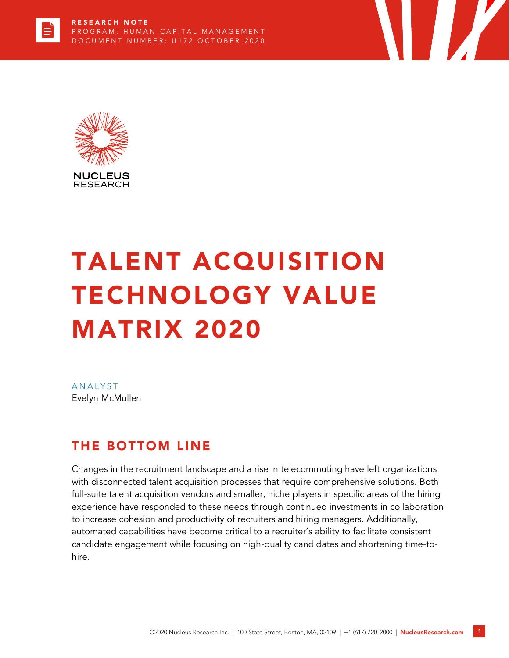

# TALENT ACQUISITION TECHNOLOGY VALUE MATRIX 2020

**ANALYST** Evelyn McMullen

# THE BOTTOM LINE

Changes in the recruitment landscape and a rise in telecommuting have left organizations with disconnected talent acquisition processes that require comprehensive solutions. Both full-suite talent acquisition vendors and smaller, niche players in specific areas of the hiring experience have responded to these needs through continued investments in collaboration to increase cohesion and productivity of recruiters and hiring managers. Additionally, automated capabilities have become critical to a recruiter's ability to facilitate consistent candidate engagement while focusing on high-quality candidates and shortening time-tohire.

T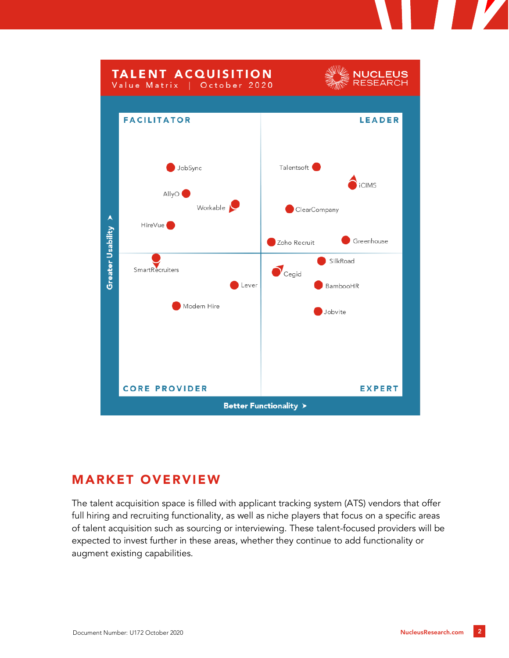

# MARKET OVERVIEW

The talent acquisition space is filled with applicant tracking system (ATS) vendors that offer full hiring and recruiting functionality, as well as niche players that focus on a specific areas of talent acquisition such as sourcing or interviewing. These talent-focused providers will be expected to invest further in these areas, whether they continue to add functionality or augment existing capabilities.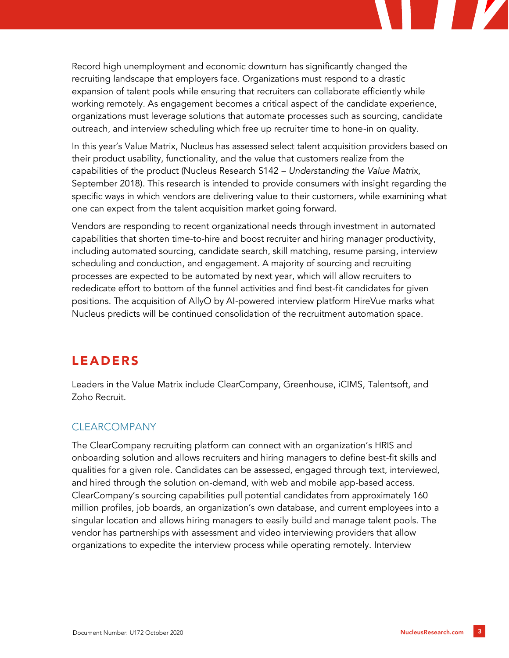Record high unemployment and economic downturn has significantly changed the recruiting landscape that employers face. Organizations must respond to a drastic expansion of talent pools while ensuring that recruiters can collaborate efficiently while working remotely. As engagement becomes a critical aspect of the candidate experience, organizations must leverage solutions that automate processes such as sourcing, candidate outreach, and interview scheduling which free up recruiter time to hone-in on quality.

In this year's Value Matrix, Nucleus has assessed select talent acquisition providers based on their product usability, functionality, and the value that customers realize from the capabilities of the product (Nucleus Research S142 – *Understanding the Value Matrix*, September 2018). This research is intended to provide consumers with insight regarding the specific ways in which vendors are delivering value to their customers, while examining what one can expect from the talent acquisition market going forward.

Vendors are responding to recent organizational needs through investment in automated capabilities that shorten time-to-hire and boost recruiter and hiring manager productivity, including automated sourcing, candidate search, skill matching, resume parsing, interview scheduling and conduction, and engagement. A majority of sourcing and recruiting processes are expected to be automated by next year, which will allow recruiters to rededicate effort to bottom of the funnel activities and find best-fit candidates for given positions. The acquisition of AllyO by AI-powered interview platform HireVue marks what Nucleus predicts will be continued consolidation of the recruitment automation space.

# LEADERS

Leaders in the Value Matrix include ClearCompany, Greenhouse, iCIMS, Talentsoft, and Zoho Recruit.

# CLEARCOMPANY

The ClearCompany recruiting platform can connect with an organization's HRIS and onboarding solution and allows recruiters and hiring managers to define best-fit skills and qualities for a given role. Candidates can be assessed, engaged through text, interviewed, and hired through the solution on-demand, with web and mobile app-based access. ClearCompany's sourcing capabilities pull potential candidates from approximately 160 million profiles, job boards, an organization's own database, and current employees into a singular location and allows hiring managers to easily build and manage talent pools. The vendor has partnerships with assessment and video interviewing providers that allow organizations to expedite the interview process while operating remotely. Interview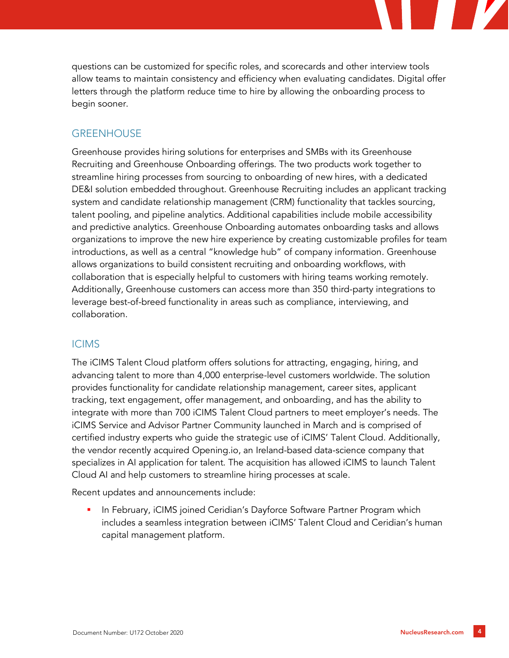questions can be customized for specific roles, and scorecards and other interview tools allow teams to maintain consistency and efficiency when evaluating candidates. Digital offer letters through the platform reduce time to hire by allowing the onboarding process to begin sooner.

## **GREENHOUSE**

Greenhouse provides hiring solutions for enterprises and SMBs with its Greenhouse Recruiting and Greenhouse Onboarding offerings. The two products work together to streamline hiring processes from sourcing to onboarding of new hires, with a dedicated DE&I solution embedded throughout. Greenhouse Recruiting includes an applicant tracking system and candidate relationship management (CRM) functionality that tackles sourcing, talent pooling, and pipeline analytics. Additional capabilities include mobile accessibility and predictive analytics. Greenhouse Onboarding automates onboarding tasks and allows organizations to improve the new hire experience by creating customizable profiles for team introductions, as well as a central "knowledge hub" of company information. Greenhouse allows organizations to build consistent recruiting and onboarding workflows, with collaboration that is especially helpful to customers with hiring teams working remotely. Additionally, Greenhouse customers can access more than 350 third-party integrations to leverage best-of-breed functionality in areas such as compliance, interviewing, and collaboration.

#### ICIMS

The iCIMS Talent Cloud platform offers solutions for attracting, engaging, hiring, and advancing talent to more than 4,000 enterprise-level customers worldwide. The solution provides functionality for candidate relationship management, career sites, applicant tracking, text engagement, offer management, and onboarding, and has the ability to integrate with more than 700 iCIMS Talent Cloud partners to meet employer's needs. The iCIMS Service and Advisor Partner Community launched in March and is comprised of certified industry experts who guide the strategic use of iCIMS' Talent Cloud. Additionally, the vendor recently acquired Opening.io, an Ireland-based data-science company that specializes in AI application for talent. The acquisition has allowed iCIMS to launch Talent Cloud AI and help customers to streamline hiring processes at scale.

Recent updates and announcements include:

In February, iCIMS joined Ceridian's Dayforce Software Partner Program which includes a seamless integration between iCIMS' Talent Cloud and Ceridian's human capital management platform.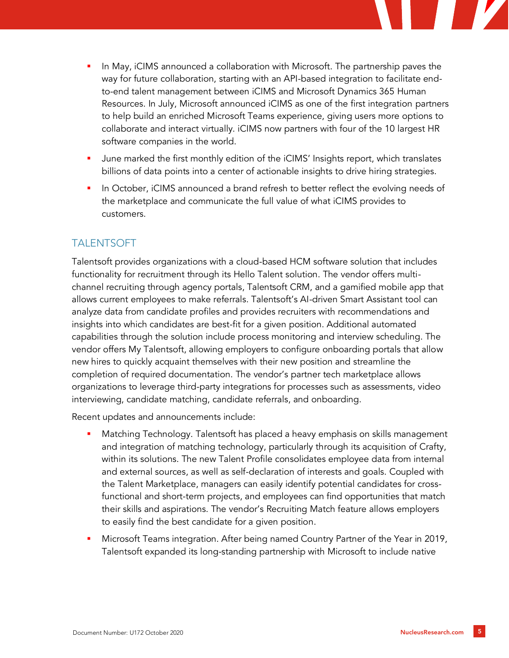

- June marked the first monthly edition of the iCIMS' Insights report, which translates billions of data points into a center of actionable insights to drive hiring strategies.
- In October, iCIMS announced a brand refresh to better reflect the evolving needs of the marketplace and communicate the full value of what iCIMS provides to customers.

## TALENTSOFT

Talentsoft provides organizations with a cloud-based HCM software solution that includes functionality for recruitment through its Hello Talent solution. The vendor offers multichannel recruiting through agency portals, Talentsoft CRM, and a gamified mobile app that allows current employees to make referrals. Talentsoft's AI-driven Smart Assistant tool can analyze data from candidate profiles and provides recruiters with recommendations and insights into which candidates are best-fit for a given position. Additional automated capabilities through the solution include process monitoring and interview scheduling. The vendor offers My Talentsoft, allowing employers to configure onboarding portals that allow new hires to quickly acquaint themselves with their new position and streamline the completion of required documentation. The vendor's partner tech marketplace allows organizations to leverage third-party integrations for processes such as assessments, video interviewing, candidate matching, candidate referrals, and onboarding.

Recent updates and announcements include:

- Matching Technology. Talentsoft has placed a heavy emphasis on skills management and integration of matching technology, particularly through its acquisition of Crafty, within its solutions. The new Talent Profile consolidates employee data from internal and external sources, as well as self-declaration of interests and goals. Coupled with the Talent Marketplace, managers can easily identify potential candidates for crossfunctional and short-term projects, and employees can find opportunities that match their skills and aspirations. The vendor's Recruiting Match feature allows employers to easily find the best candidate for a given position.
- Microsoft Teams integration. After being named Country Partner of the Year in 2019, Talentsoft expanded its long-standing partnership with Microsoft to include native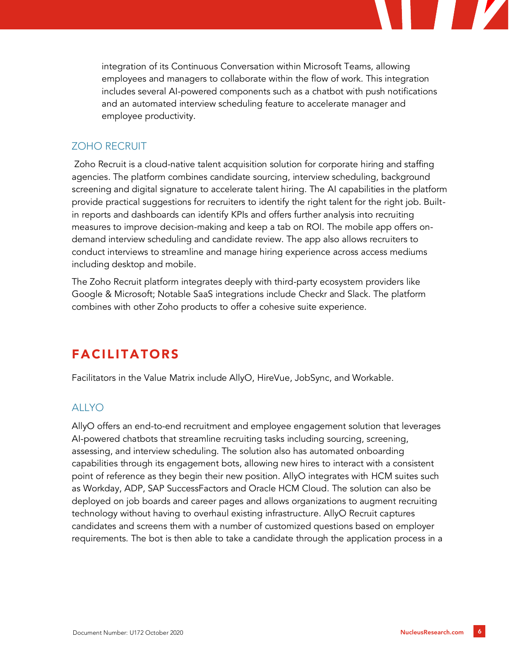integration of its Continuous Conversation within Microsoft Teams, allowing employees and managers to collaborate within the flow of work. This integration includes several AI-powered components such as a chatbot with push notifications and an automated interview scheduling feature to accelerate manager and employee productivity.

#### ZOHO RECRUIT

Zoho Recruit is a cloud-native talent acquisition solution for corporate hiring and staffing agencies. The platform combines candidate sourcing, interview scheduling, background screening and digital signature to accelerate talent hiring. The AI capabilities in the platform provide practical suggestions for recruiters to identify the right talent for the right job. Builtin reports and dashboards can identify KPIs and offers further analysis into recruiting measures to improve decision-making and keep a tab on ROI. The mobile app offers ondemand interview scheduling and candidate review. The app also allows recruiters to conduct interviews to streamline and manage hiring experience across access mediums including desktop and mobile.

The Zoho Recruit platform integrates deeply with third-party ecosystem providers like Google & Microsoft; Notable SaaS integrations include Checkr and Slack. The platform combines with other Zoho products to offer a cohesive suite experience.

# FACILITATORS

Facilitators in the Value Matrix include AllyO, HireVue, JobSync, and Workable.

## ALLYO

AllyO offers an end-to-end recruitment and employee engagement solution that leverages AI-powered chatbots that streamline recruiting tasks including sourcing, screening, assessing, and interview scheduling. The solution also has automated onboarding capabilities through its engagement bots, allowing new hires to interact with a consistent point of reference as they begin their new position. AllyO integrates with HCM suites such as Workday, ADP, SAP SuccessFactors and Oracle HCM Cloud. The solution can also be deployed on job boards and career pages and allows organizations to augment recruiting technology without having to overhaul existing infrastructure. AllyO Recruit captures candidates and screens them with a number of customized questions based on employer requirements. The bot is then able to take a candidate through the application process in a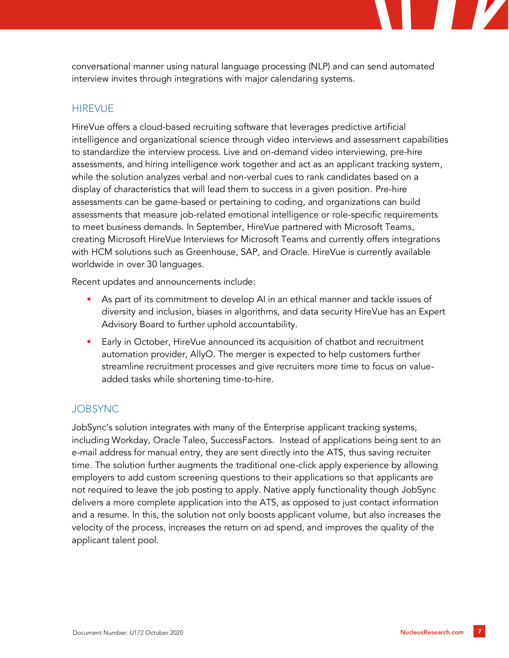conversational manner using natural language processing (NLP) and can send automated interview invites through integrations with major calendaring systems.

#### **HIREVUE**

HireVue offers a cloud-based recruiting software that leverages predictive artificial intelligence and organizational science through video interviews and assessment capabilities to standardize the interview process. Live and on-demand video interviewing, pre-hire assessments, and hiring intelligence work together and act as an applicant tracking system, while the solution analyzes verbal and non-verbal cues to rank candidates based on a display of characteristics that will lead them to success in a given position. Pre-hire assessments can be game-based or pertaining to coding, and organizations can build assessments that measure job-related emotional intelligence or role-specific requirements to meet business demands. In September, HireVue partnered with Microsoft Teams, creating Microsoft HireVue Interviews for Microsoft Teams and currently offers integrations with HCM solutions such as Greenhouse, SAP, and Oracle. HireVue is currently available worldwide in over 30 languages.

Recent updates and announcements include:

- As part of its commitment to develop AI in an ethical manner and tackle issues of diversity and inclusion, biases in algorithms, and data security HireVue has an Expert Advisory Board to further uphold accountability.
- Early in October, HireVue announced its acquisition of chatbot and recruitment automation provider, AllyO. The merger is expected to help customers further streamline recruitment processes and give recruiters more time to focus on valueadded tasks while shortening time-to-hire.

#### JOBSYNC

JobSync's solution integrates with many of the Enterprise applicant tracking systems, including Workday, Oracle Taleo, SuccessFactors. Instead of applications being sent to an e-mail address for manual entry, they are sent directly into the ATS, thus saving recruiter time. The solution further augments the traditional one-click apply experience by allowing employers to add custom screening questions to their applications so that applicants are not required to leave the job posting to apply. Native apply functionality though JobSync delivers a more complete application into the ATS, as opposed to just contact information and a resume. In this, the solution not only boosts applicant volume, but also increases the velocity of the process, increases the return on ad spend, and improves the quality of the applicant talent pool.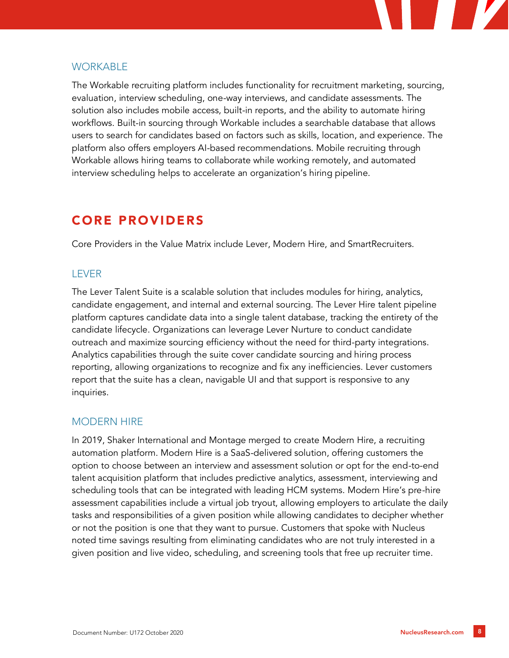

#### **WORKABLE**

The Workable recruiting platform includes functionality for recruitment marketing, sourcing, evaluation, interview scheduling, one-way interviews, and candidate assessments. The solution also includes mobile access, built-in reports, and the ability to automate hiring workflows. Built-in sourcing through Workable includes a searchable database that allows users to search for candidates based on factors such as skills, location, and experience. The platform also offers employers AI-based recommendations. Mobile recruiting through Workable allows hiring teams to collaborate while working remotely, and automated interview scheduling helps to accelerate an organization's hiring pipeline.

# CORE PROVIDERS

Core Providers in the Value Matrix include Lever, Modern Hire, and SmartRecruiters.

## LEVER

The Lever Talent Suite is a scalable solution that includes modules for hiring, analytics, candidate engagement, and internal and external sourcing. The Lever Hire talent pipeline platform captures candidate data into a single talent database, tracking the entirety of the candidate lifecycle. Organizations can leverage Lever Nurture to conduct candidate outreach and maximize sourcing efficiency without the need for third-party integrations. Analytics capabilities through the suite cover candidate sourcing and hiring process reporting, allowing organizations to recognize and fix any inefficiencies. Lever customers report that the suite has a clean, navigable UI and that support is responsive to any inquiries.

## MODERN HIRE

In 2019, Shaker International and Montage merged to create Modern Hire, a recruiting automation platform. Modern Hire is a SaaS-delivered solution, offering customers the option to choose between an interview and assessment solution or opt for the end-to-end talent acquisition platform that includes predictive analytics, assessment, interviewing and scheduling tools that can be integrated with leading HCM systems. Modern Hire's pre-hire assessment capabilities include a virtual job tryout, allowing employers to articulate the daily tasks and responsibilities of a given position while allowing candidates to decipher whether or not the position is one that they want to pursue. Customers that spoke with Nucleus noted time savings resulting from eliminating candidates who are not truly interested in a given position and live video, scheduling, and screening tools that free up recruiter time.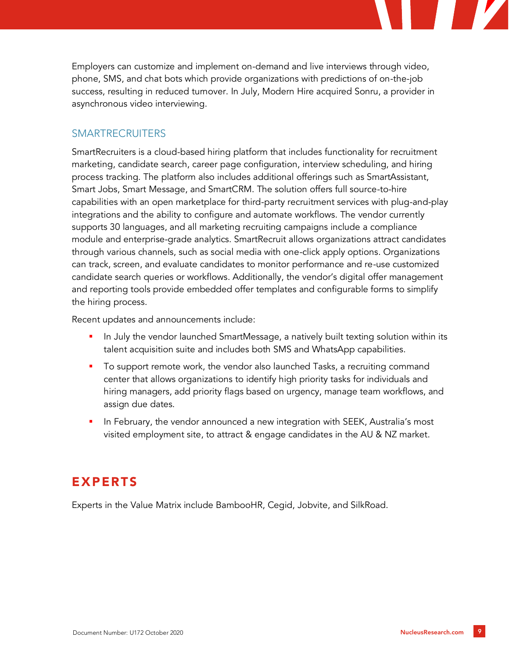Employers can customize and implement on-demand and live interviews through video, phone, SMS, and chat bots which provide organizations with predictions of on-the-job success, resulting in reduced turnover. In July, Modern Hire acquired Sonru, a provider in asynchronous video interviewing.

#### SMARTRECRUITERS

SmartRecruiters is a cloud-based hiring platform that includes functionality for recruitment marketing, candidate search, career page configuration, interview scheduling, and hiring process tracking. The platform also includes additional offerings such as SmartAssistant, Smart Jobs, Smart Message, and SmartCRM. The solution offers full source-to-hire capabilities with an open marketplace for third-party recruitment services with plug-and-play integrations and the ability to configure and automate workflows. The vendor currently supports 30 languages, and all marketing recruiting campaigns include a compliance module and enterprise-grade analytics. SmartRecruit allows organizations attract candidates through various channels, such as social media with one-click apply options. Organizations can track, screen, and evaluate candidates to monitor performance and re-use customized candidate search queries or workflows. Additionally, the vendor's digital offer management and reporting tools provide embedded offer templates and configurable forms to simplify the hiring process.

Recent updates and announcements include:

- In July the vendor launched SmartMessage, a natively built texting solution within its talent acquisition suite and includes both SMS and WhatsApp capabilities.
- To support remote work, the vendor also launched Tasks, a recruiting command center that allows organizations to identify high priority tasks for individuals and hiring managers, add priority flags based on urgency, manage team workflows, and assign due dates.
- **·** In February, the vendor announced a new integration with SEEK, Australia's most visited employment site, to attract & engage candidates in the AU & NZ market.

# EXPERTS

Experts in the Value Matrix include BambooHR, Cegid, Jobvite, and SilkRoad.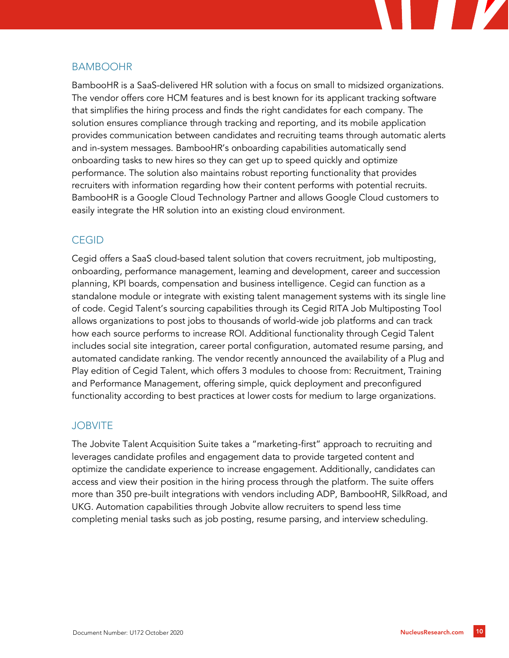

#### BAMBOOHR

BambooHR is a SaaS-delivered HR solution with a focus on small to midsized organizations. The vendor offers core HCM features and is best known for its applicant tracking software that simplifies the hiring process and finds the right candidates for each company. The solution ensures compliance through tracking and reporting, and its mobile application provides communication between candidates and recruiting teams through automatic alerts and in-system messages. BambooHR's onboarding capabilities automatically send onboarding tasks to new hires so they can get up to speed quickly and optimize performance. The solution also maintains robust reporting functionality that provides recruiters with information regarding how their content performs with potential recruits. BambooHR is a Google Cloud Technology Partner and allows Google Cloud customers to easily integrate the HR solution into an existing cloud environment.

## **CEGID**

Cegid offers a SaaS cloud-based talent solution that covers recruitment, job multiposting, onboarding, performance management, learning and development, career and succession planning, KPI boards, compensation and business intelligence. Cegid can function as a standalone module or integrate with existing talent management systems with its single line of code. Cegid Talent's sourcing capabilities through its Cegid RITA Job Multiposting Tool allows organizations to post jobs to thousands of world-wide job platforms and can track how each source performs to increase ROI. Additional functionality through Cegid Talent includes social site integration, career portal configuration, automated resume parsing, and automated candidate ranking. The vendor recently announced the availability of a Plug and Play edition of Cegid Talent, which offers 3 modules to choose from: Recruitment, Training and Performance Management, offering simple, quick deployment and preconfigured functionality according to best practices at lower costs for medium to large organizations.

#### **JOBVITE**

The Jobvite Talent Acquisition Suite takes a "marketing-first" approach to recruiting and leverages candidate profiles and engagement data to provide targeted content and optimize the candidate experience to increase engagement. Additionally, candidates can access and view their position in the hiring process through the platform. The suite offers more than 350 pre-built integrations with vendors including ADP, BambooHR, SilkRoad, and UKG. Automation capabilities through Jobvite allow recruiters to spend less time completing menial tasks such as job posting, resume parsing, and interview scheduling.